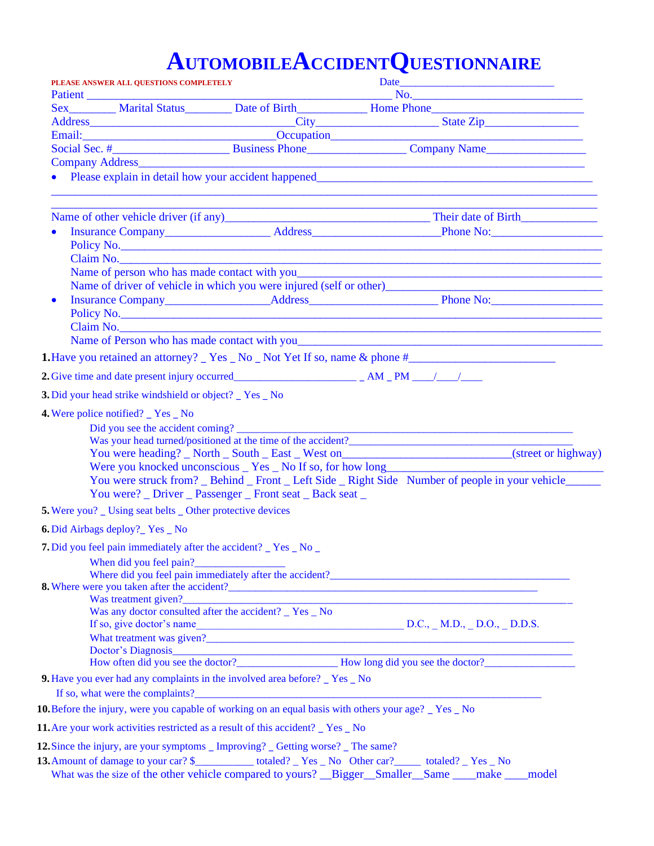# **AUTOMOBILEACCIDENTQUESTIONNAIRE**

|                                                                                                               | PLEASE ANSWER ALL QUESTIONS COMPLETELY                            |                                                                                   |                                                                                                                                                                                                                                  |  |
|---------------------------------------------------------------------------------------------------------------|-------------------------------------------------------------------|-----------------------------------------------------------------------------------|----------------------------------------------------------------------------------------------------------------------------------------------------------------------------------------------------------------------------------|--|
|                                                                                                               |                                                                   |                                                                                   | No.<br>Sex Marital Status Date of Birth Home Phone                                                                                                                                                                               |  |
|                                                                                                               |                                                                   |                                                                                   |                                                                                                                                                                                                                                  |  |
|                                                                                                               |                                                                   |                                                                                   |                                                                                                                                                                                                                                  |  |
|                                                                                                               |                                                                   |                                                                                   |                                                                                                                                                                                                                                  |  |
|                                                                                                               |                                                                   |                                                                                   | Company Address <b>Company Address Company Address Company Address</b>                                                                                                                                                           |  |
|                                                                                                               |                                                                   |                                                                                   | • Please explain in detail how your accident happened<br>and the contract of the contract of the contract of the contract of the contract of the contract of the contract of the contract of the contract of the contract of the |  |
|                                                                                                               |                                                                   |                                                                                   |                                                                                                                                                                                                                                  |  |
|                                                                                                               |                                                                   |                                                                                   |                                                                                                                                                                                                                                  |  |
|                                                                                                               |                                                                   |                                                                                   |                                                                                                                                                                                                                                  |  |
|                                                                                                               |                                                                   |                                                                                   | Claim No. No. 2008 and 2008 and 2008 and 2008 and 2008 and 2008 and 2008 and 2008 and 2008 and 2008 and 2008 and 2008 and 2008 and 2008 and 2008 and 2008 and 2008 and 2008 and 2008 and 2008 and 2008 and 2008 and 2008 and 2   |  |
|                                                                                                               |                                                                   |                                                                                   |                                                                                                                                                                                                                                  |  |
|                                                                                                               |                                                                   |                                                                                   | Name of driver of vehicle in which you were injured (self or other)<br>expansion of the state of the state of the state of the state of the state of the state of the state of the state of the state of the state of the state  |  |
|                                                                                                               |                                                                   |                                                                                   |                                                                                                                                                                                                                                  |  |
|                                                                                                               |                                                                   |                                                                                   | Claim No. 2008. 2008. 2010. 2010. 2010. 2010. 2010. 2010. 2010. 2010. 2010. 2010. 2010. 2010. 2010. 2010. 2010                                                                                                                   |  |
|                                                                                                               |                                                                   |                                                                                   | Name of Person who has made contact with you                                                                                                                                                                                     |  |
|                                                                                                               |                                                                   |                                                                                   | <b>1.</b> Have you retained an attorney? Yes No Not Yet If so, name & phone $#$                                                                                                                                                  |  |
|                                                                                                               |                                                                   |                                                                                   |                                                                                                                                                                                                                                  |  |
|                                                                                                               |                                                                   |                                                                                   |                                                                                                                                                                                                                                  |  |
|                                                                                                               | 3. Did your head strike windshield or object? _ Yes _ No          |                                                                                   |                                                                                                                                                                                                                                  |  |
|                                                                                                               | 4. Were police notified? _ Yes _ No                               |                                                                                   |                                                                                                                                                                                                                                  |  |
|                                                                                                               |                                                                   | Did you see the accident coming?                                                  |                                                                                                                                                                                                                                  |  |
|                                                                                                               |                                                                   |                                                                                   |                                                                                                                                                                                                                                  |  |
|                                                                                                               |                                                                   |                                                                                   | You were heading? _ North _ South _ East _ West on______________________________(street or highway)                                                                                                                              |  |
|                                                                                                               |                                                                   | Were you knocked unconscious _ Yes _ No If so, for how long_____________________  |                                                                                                                                                                                                                                  |  |
|                                                                                                               |                                                                   |                                                                                   | You were struck from? _ Behind _ Front _ Left Side _ Right Side Number of people in your vehicle                                                                                                                                 |  |
|                                                                                                               |                                                                   | You were? _ Driver _ Passenger _ Front seat _ Back seat _                         |                                                                                                                                                                                                                                  |  |
|                                                                                                               | <b>5.</b> Were you? _ Using seat belts _ Other protective devices |                                                                                   |                                                                                                                                                                                                                                  |  |
|                                                                                                               | <b>6.</b> Did Airbags deploy? Yes No                              |                                                                                   |                                                                                                                                                                                                                                  |  |
|                                                                                                               | 7. Did you feel pain immediately after the accident? _ Yes _ No _ |                                                                                   |                                                                                                                                                                                                                                  |  |
|                                                                                                               | When did you feel pain?                                           |                                                                                   |                                                                                                                                                                                                                                  |  |
|                                                                                                               |                                                                   |                                                                                   | Where did you feel pain immediately after the accident?                                                                                                                                                                          |  |
|                                                                                                               | Was treatment given?                                              |                                                                                   |                                                                                                                                                                                                                                  |  |
|                                                                                                               |                                                                   | Was treatment given?<br>Was any doctor consulted after the accident? _ Yes _ No   |                                                                                                                                                                                                                                  |  |
|                                                                                                               |                                                                   |                                                                                   | If so, give doctor's name<br>$D.C., M.D., D.O., D.D.S.$                                                                                                                                                                          |  |
|                                                                                                               |                                                                   |                                                                                   |                                                                                                                                                                                                                                  |  |
|                                                                                                               |                                                                   |                                                                                   |                                                                                                                                                                                                                                  |  |
|                                                                                                               |                                                                   |                                                                                   | How often did you see the doctor?<br><u>How long did you see the doctor?</u>                                                                                                                                                     |  |
|                                                                                                               |                                                                   | 9. Have you ever had any complaints in the involved area before? _ Yes _ No       |                                                                                                                                                                                                                                  |  |
|                                                                                                               |                                                                   |                                                                                   |                                                                                                                                                                                                                                  |  |
|                                                                                                               |                                                                   |                                                                                   | <b>10.</b> Before the injury, were you capable of working on an equal basis with others your $age?$ $\angle$ Yes $\angle$ No                                                                                                     |  |
|                                                                                                               |                                                                   | 11. Are your work activities restricted as a result of this accident? _ Yes _ No  |                                                                                                                                                                                                                                  |  |
|                                                                                                               |                                                                   | 12. Since the injury, are your symptoms _ Improving? _ Getting worse? _ The same? |                                                                                                                                                                                                                                  |  |
| 13. Amount of damage to your car? \$_____________totaled? _ Yes _ No Other car? _________ totaled? _ Yes _ No |                                                                   |                                                                                   |                                                                                                                                                                                                                                  |  |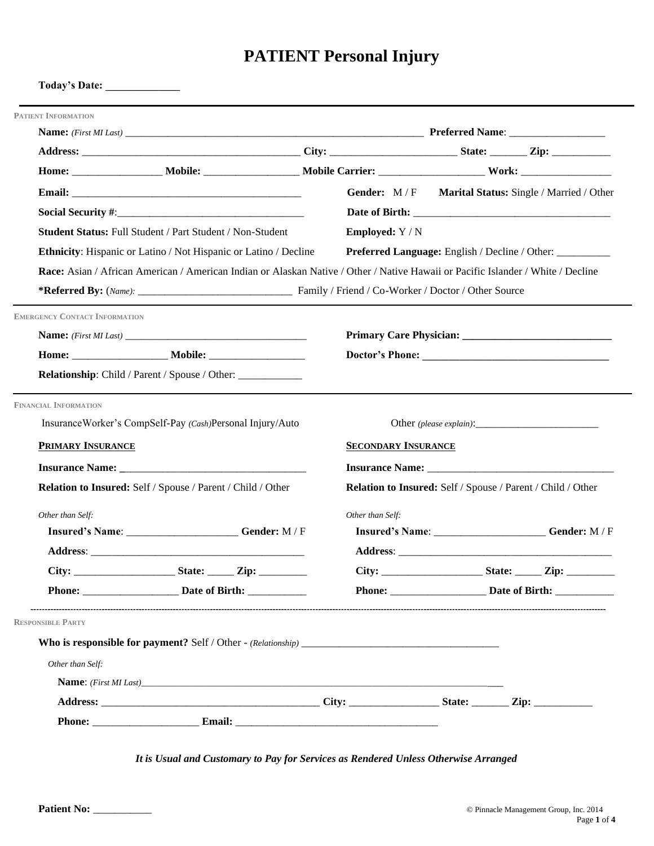# **PATIENT Personal Injury**

| <b>PATIENT INFORMATION</b>           |                                                                         |                            |                                                                                                                                  |
|--------------------------------------|-------------------------------------------------------------------------|----------------------------|----------------------------------------------------------------------------------------------------------------------------------|
|                                      |                                                                         |                            |                                                                                                                                  |
|                                      |                                                                         |                            |                                                                                                                                  |
|                                      |                                                                         |                            |                                                                                                                                  |
|                                      |                                                                         |                            | Gender: M/F Marital Status: Single / Married / Other                                                                             |
|                                      |                                                                         |                            |                                                                                                                                  |
|                                      | Student Status: Full Student / Part Student / Non-Student               | <b>Employed:</b> Y / N     |                                                                                                                                  |
|                                      | <b>Ethnicity:</b> Hispanic or Latino / Not Hispanic or Latino / Decline |                            | Preferred Language: English / Decline / Other: _________                                                                         |
|                                      |                                                                         |                            | Race: Asian / African American / American Indian or Alaskan Native / Other / Native Hawaii or Pacific Islander / White / Decline |
|                                      |                                                                         |                            |                                                                                                                                  |
| <b>EMERGENCY CONTACT INFORMATION</b> |                                                                         |                            |                                                                                                                                  |
|                                      |                                                                         |                            |                                                                                                                                  |
|                                      |                                                                         |                            |                                                                                                                                  |
|                                      | <b>Relationship:</b> Child / Parent / Spouse / Other:                   |                            |                                                                                                                                  |
| <b>FINANCIAL INFORMATION</b>         |                                                                         |                            |                                                                                                                                  |
|                                      | InsuranceWorker's CompSelf-Pay (Cash)Personal Injury/Auto               |                            |                                                                                                                                  |
|                                      |                                                                         |                            |                                                                                                                                  |
| <b>PRIMARY INSURANCE</b>             |                                                                         | <b>SECONDARY INSURANCE</b> |                                                                                                                                  |
|                                      |                                                                         |                            |                                                                                                                                  |
|                                      | Relation to Insured: Self / Spouse / Parent / Child / Other             |                            | Relation to Insured: Self / Spouse / Parent / Child / Other                                                                      |
| Other than Self:                     |                                                                         | Other than Self:           |                                                                                                                                  |
|                                      | Insured's Name: ______________________Gender: M/F                       |                            | Insured's Name: _______________________Gender: M/F                                                                               |
|                                      |                                                                         |                            |                                                                                                                                  |
|                                      | $City:$ State: Zip:                                                     |                            |                                                                                                                                  |
|                                      | Phone: <u>________________________</u> Date of Birth:                   |                            |                                                                                                                                  |
| <b>RESPONSIBLE PARTY</b>             |                                                                         |                            |                                                                                                                                  |
|                                      |                                                                         |                            |                                                                                                                                  |
| Other than Self:                     |                                                                         |                            |                                                                                                                                  |
|                                      | <b>Name:</b> (First MI Last)                                            |                            |                                                                                                                                  |
|                                      |                                                                         |                            |                                                                                                                                  |

*It is Usual and Customary to Pay for Services as Rendered Unless Otherwise Arranged*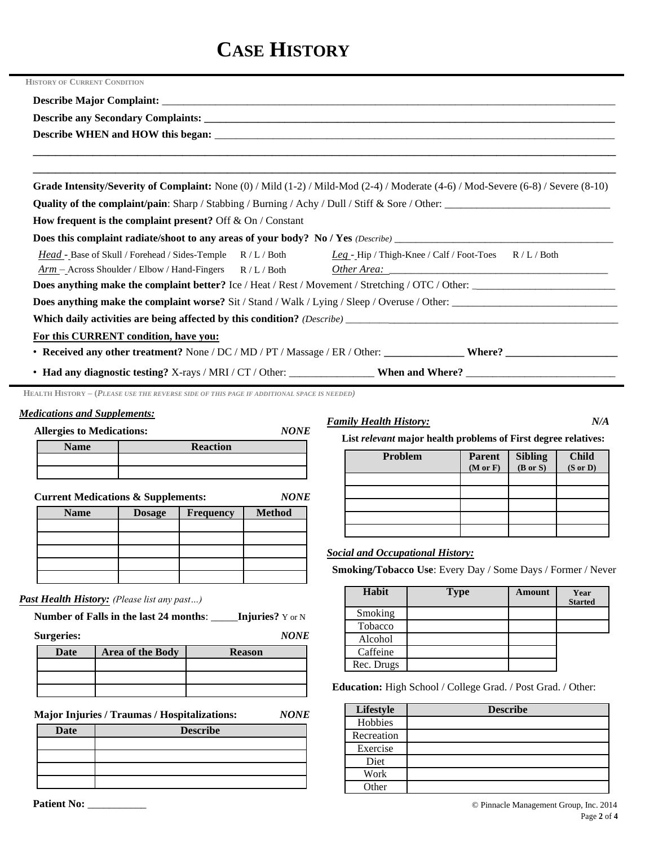# **CASE HISTORY**

| <b>HISTORY OF CURRENT CONDITION</b>                                                                                |                                                                                                                                               |  |  |  |
|--------------------------------------------------------------------------------------------------------------------|-----------------------------------------------------------------------------------------------------------------------------------------------|--|--|--|
|                                                                                                                    |                                                                                                                                               |  |  |  |
|                                                                                                                    |                                                                                                                                               |  |  |  |
|                                                                                                                    |                                                                                                                                               |  |  |  |
|                                                                                                                    |                                                                                                                                               |  |  |  |
|                                                                                                                    | Grade Intensity/Severity of Complaint: None $(0)$ / Mild $(1-2)$ / Mild-Mod $(2-4)$ / Moderate $(4-6)$ / Mod-Severe $(6-8)$ / Severe $(8-10)$ |  |  |  |
|                                                                                                                    | <b>Quality of the complaint/pain:</b> Sharp / Stabbing / Burning / Achy / Dull / Stiff & Sore / Other:                                        |  |  |  |
| How frequent is the complaint present? Off $&$ On / Constant                                                       |                                                                                                                                               |  |  |  |
|                                                                                                                    |                                                                                                                                               |  |  |  |
| Head - Base of Skull / Forehead / Sides-Temple R / L / Both Leg - Hip / Thigh-Knee / Calf / Foot-Toes R / L / Both |                                                                                                                                               |  |  |  |
| $Arm - Across Shoulder / Elbow / Hand-Fingers$ R / L / Both                                                        |                                                                                                                                               |  |  |  |
|                                                                                                                    |                                                                                                                                               |  |  |  |
|                                                                                                                    |                                                                                                                                               |  |  |  |
|                                                                                                                    |                                                                                                                                               |  |  |  |
| For this CURRENT condition, have you:                                                                              |                                                                                                                                               |  |  |  |
|                                                                                                                    |                                                                                                                                               |  |  |  |
|                                                                                                                    |                                                                                                                                               |  |  |  |

**HEALTH HISTORY – (***PLEASE USE THE REVERSE SIDE OF THIS PAGE IF ADDITIONAL SPACE IS NEEDED)*

**Name Reaction** 

#### *Medications and Supplements:*

**Allergies to Medications:** *NONE*

|      | Family |
|------|--------|
| IANE |        |

*Family History: N/A* 

**List** *relevant* **major health problems of First degree relatives:**

| Problem | <b>Parent</b><br>(M or F) | Sibling<br>(B or S) | <b>Child</b><br>$(S \text{ or } D)$ |
|---------|---------------------------|---------------------|-------------------------------------|
|         |                           |                     |                                     |
|         |                           |                     |                                     |
|         |                           |                     |                                     |
|         |                           |                     |                                     |
|         |                           |                     |                                     |

#### *Social and Occupational History:*

**Smoking/Tobacco Use**: Every Day / Some Days / Former / Never

| Habit      | <b>Type</b> | Amount | Year<br><b>Started</b> |
|------------|-------------|--------|------------------------|
| Smoking    |             |        |                        |
| Tobacco    |             |        |                        |
| Alcohol    |             |        |                        |
| Caffeine   |             |        |                        |
| Rec. Drugs |             |        |                        |

**Education:** High School / College Grad. / Post Grad. / Other:

| Lifestyle  | <b>Describe</b> |
|------------|-----------------|
| Hobbies    |                 |
| Recreation |                 |
| Exercise   |                 |
| Diet       |                 |
| Work       |                 |
| Other      |                 |

*Past Health History: (Please list any past…)*

**Number of Falls in the last 24 months**: \_\_\_\_\_**Injuries?** Y or N

**Current Medications & Supplements:** *NONE* **Name Dosage Frequency Method** 

**Surgeries:** *NONE*

| -           |                  |               |
|-------------|------------------|---------------|
| <b>Date</b> | Area of the Body | <b>Reason</b> |
|             |                  |               |
|             |                  |               |
|             |                  |               |

**Major Injuries / Traumas / Hospitalizations: NONE** 

| .<br>. .    | . .             | <b>Hobbies</b> |
|-------------|-----------------|----------------|
| <b>Date</b> | <b>Describe</b> | Recreation     |
|             |                 | Exercise       |
|             |                 | Diet           |
|             |                 | Work           |
|             |                 | $Q$ thei       |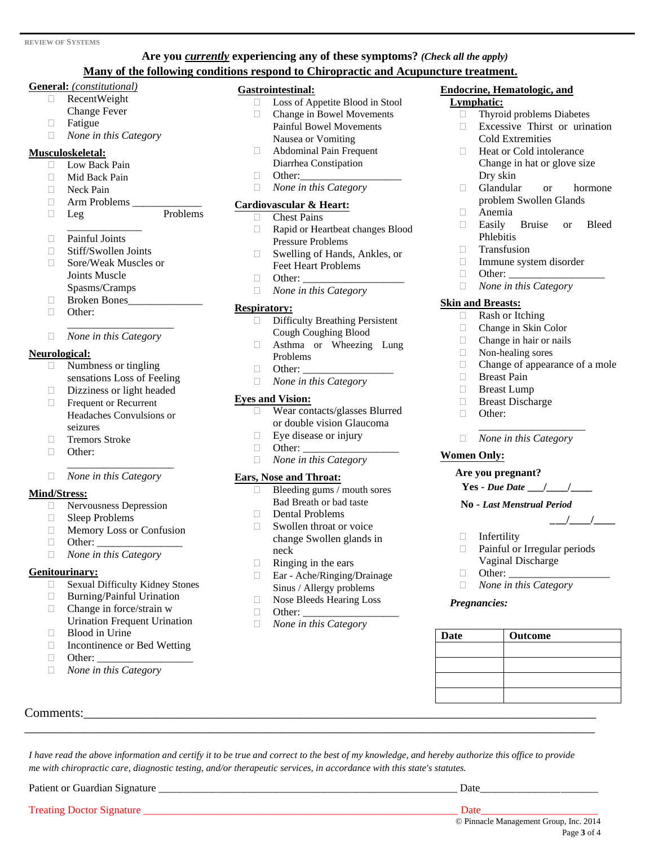#### **Are you** *currently* **experiencing any of these symptoms?** *(Check all the apply)* **Many of the following conditions respond to Chiropractic and Acupuncture treatment.**

#### **General:** *(constitutional)*

- RecentWeight Change Fever
- 
- Fatigue
- *None in this Category*

#### **Musculoskeletal:**

- **Low Back Pain**
- Mid Back Pain
- □ Neck Pain
- Arm Problems \_\_\_\_\_\_\_\_\_\_\_\_\_

Leg Problems

- \_\_\_\_\_\_\_\_\_\_\_\_\_\_ □ Painful Joints
- □ Stiff/Swollen Joints
- □ Sore/Weak Muscles or Joints Muscle Spasms/Cramps
- Broken Bones\_\_\_\_\_\_\_\_\_\_\_\_\_\_
- **D** Other:
- \_\_\_\_\_\_\_\_\_\_\_\_\_\_\_\_\_\_\_\_ *None in this Category*

#### **Neurological:**

- $\Box$  Numbness or tingling sensations Loss of Feeling
- Dizziness or light headed
- **Frequent or Recurrent** Headaches Convulsions or seizures

\_\_\_\_\_\_\_\_\_\_\_\_\_\_\_\_\_\_\_\_

- □ Tremors Stroke
- □ Other:

#### *None in this Category*

#### **Mind/Stress:**

- Nervousness Depression
- Sleep Problems
- **Memory Loss or Confusion**
- Other: \_\_\_\_\_\_\_\_\_\_\_\_\_\_\_\_
- *None in this Category*

#### **Genitourinary:**

- Sexual Difficulty Kidney Stones
- □ Burning/Painful Urination
- $\Box$  Change in force/strain w Urination Frequent Urination
- **Blood in Urine**
- □ Incontinence or Bed Wetting

Comments:

- $\Box$  Other:
- *None in this Category*

#### **Gastrointestinal:**

- Loss of Appetite Blood in Stool
- Change in Bowel Movements
- Painful Bowel Movements
- Nausea or Vomiting
- Abdominal Pain Frequent Diarrhea Constipation
- $\Box$  Other:
- *None in this Category*

#### **Cardiovascular & Heart:**

- Chest Pains
- Rapid or Heartbeat changes Blood Pressure Problems
- □ Swelling of Hands, Ankles, or Feet Heart Problems
- $\Box$  Other:  $\Box$
- *None in this Category*

#### **Respiratory:**

- Difficulty Breathing Persistent Cough Coughing Blood
- Asthma or Wheezing Lung Problems
- $\Box$  Other:
- *None in this Category*

#### **Eyes and Vision:**

- Wear contacts/glasses Blurred or double vision Glaucoma
- $\Box$  Eye disease or injury
- $\Box$  Other:
- *None in this Category*

#### **Ears, Nose and Throat:**

- $\Box$  Bleeding gums / mouth sores Bad Breath or bad taste
- $\Box$  Dental Problems
- Swollen throat or voice change Swollen glands in neck
- $\Box$  Ringing in the ears
- Ear Ache/Ringing/Drainage Sinus / Allergy problems
- Nose Bleeds Hearing Loss
- $\Box$  Other:

*me with chiropractic care, diagnostic testing, and/or therapeutic services, in accordance with this state's statutes.*

Patient or Guardian Signature \_\_\_\_\_\_\_\_\_\_\_\_\_\_\_\_\_\_\_\_\_\_\_\_\_\_\_\_\_\_\_\_\_\_\_\_\_\_\_\_\_\_\_\_\_\_\_\_\_\_\_\_\_\_\_\_ Date\_\_\_\_\_\_\_\_\_\_\_\_\_\_\_\_\_\_\_\_\_\_

Treating Doctor Signature \_\_\_\_\_\_\_\_\_\_\_\_\_\_\_\_\_\_\_\_\_\_\_\_\_\_\_\_\_\_\_\_\_\_\_\_\_\_\_\_\_\_\_\_\_\_\_\_\_\_\_\_\_\_\_\_\_\_\_ Date\_\_\_\_\_\_\_\_\_\_\_\_\_\_\_\_\_\_\_\_\_\_

*None in this Category* 

\_\_\_\_\_\_\_\_\_\_\_\_\_\_\_\_\_\_\_\_\_\_\_\_\_\_\_\_\_\_\_\_\_\_\_\_\_\_\_\_\_\_\_\_\_\_\_\_\_\_\_\_\_\_\_\_\_\_\_\_\_\_\_\_\_\_\_\_\_\_\_\_\_\_\_\_\_\_\_\_\_\_\_\_\_\_\_\_\_

*I have read the above information and certify it to be true and correct to the best of my knowledge, and hereby authorize this office to provide* 

#### **Endocrine, Hematologic, and Lymphatic:**

- Thyroid problems Diabetes
- $\Box$  Excessive Thirst or urination Cold Extremities
- □ Heat or Cold intolerance Change in hat or glove size Dry skin
- Glandular or hormone problem Swollen Glands
- Anemia
- Easily Bruise or Bleed Phlebitis
- Transfusion
- Immune system disorder
- $\Box$  Other:
- *None in this Category*

#### **Skin and Breasts:**

- Rash or Itching
- Change in Skin Color
- Change in hair or nails
- □ Non-healing sores
- $\Box$  Change of appearance of a mole  $\Box$  Breast Pain

\_\_\_\_\_\_\_\_\_\_\_\_\_\_\_\_\_\_\_\_

- Breast Pain
- **Breast Lump**
- Breast Discharge
- **D** Other:
- *None in this Category*

#### **Women Only:**

#### **Are you pregnant?**

Infertility

 $\Box$  Other:

**Date Outcome**

*Pregnancies:*

**Yes -** *Due Date* **\_\_\_/\_\_\_\_/\_\_\_\_** 

 Painful or Irregular periods Vaginal Discharge

© Pinnacle Management Group, Inc. 2014

Page **3** of 4

#### **No -** *Last Menstrual Period*

*None in this Category* 

*\_***\_\_/\_\_\_\_/\_\_\_\_**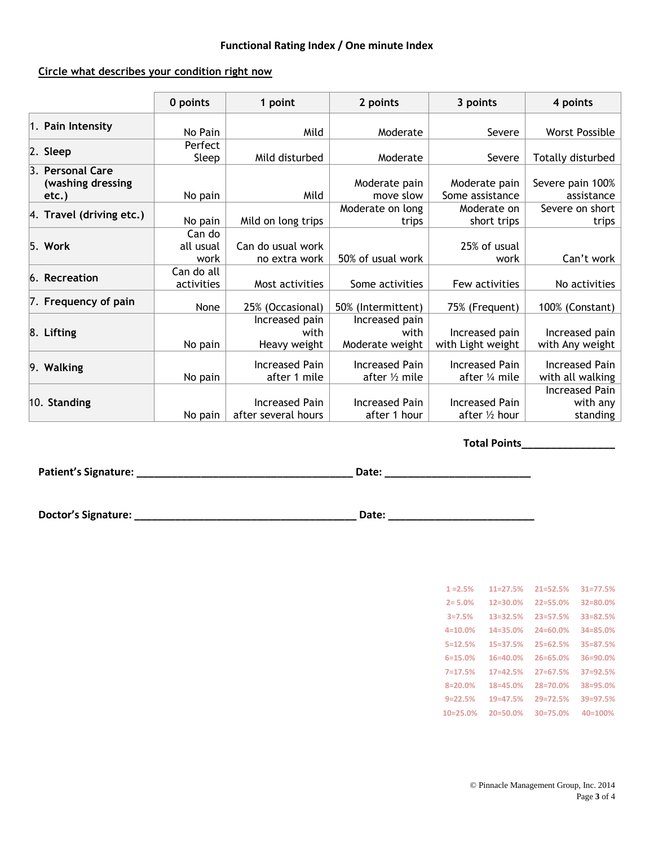#### **Functional Rating Index / One minute Index**

#### **Circle what describes your condition right now**

|                                                | 0 points                    | 1 point                                      | 2 points                                  | 3 points                                | 4 points                                  |
|------------------------------------------------|-----------------------------|----------------------------------------------|-------------------------------------------|-----------------------------------------|-------------------------------------------|
| 1. Pain Intensity                              | No Pain                     | Mild                                         | Moderate                                  | Severe                                  | <b>Worst Possible</b>                     |
| 2. Sleep                                       | Perfect<br>Sleep            | Mild disturbed                               | Moderate                                  | Severe                                  | Totally disturbed                         |
| 3. Personal Care<br>(washing dressing<br>etc.) | No pain                     | Mild                                         | Moderate pain<br>move slow                | Moderate pain<br>Some assistance        | Severe pain 100%<br>assistance            |
| 4. Travel (driving etc.)                       | No pain                     | Mild on long trips                           | Moderate on long<br>trips                 | Moderate on<br>short trips              | Severe on short<br>trips                  |
| $5.$ Work                                      | Can do<br>all usual<br>work | Can do usual work<br>no extra work           | 50% of usual work                         | 25% of usual<br>work                    | Can't work                                |
| 6. Recreation                                  | Can do all<br>activities    | Most activities                              | Some activities                           | Few activities                          | No activities                             |
| 7. Frequency of pain                           | None                        | 25% (Occasional)                             | 50% (Intermittent)                        | 75% (Frequent)                          | 100% (Constant)                           |
| 8. Lifting                                     | No pain                     | Increased pain<br>with<br>Heavy weight       | Increased pain<br>with<br>Moderate weight | Increased pain<br>with Light weight     | Increased pain<br>with Any weight         |
| 9. Walking                                     | No pain                     | <b>Increased Pain</b><br>after 1 mile        | <b>Increased Pain</b><br>after 1/2 mile   | <b>Increased Pain</b><br>after 1/4 mile | <b>Increased Pain</b><br>with all walking |
| 10. Standing                                   | No pain                     | <b>Increased Pain</b><br>after several hours | <b>Increased Pain</b><br>after 1 hour     | <b>Increased Pain</b><br>after 1/2 hour | Increased Pain<br>with any<br>standing    |

**Total Points\_\_\_\_\_\_\_\_\_\_\_\_\_\_\_\_**

**Patient's Signature: \_\_\_\_\_\_\_\_\_\_\_\_\_\_\_\_\_\_\_\_\_\_\_\_\_\_\_\_\_\_\_\_\_\_\_\_\_ Date: \_\_\_\_\_\_\_\_\_\_\_\_\_\_\_\_\_\_\_\_\_\_\_\_\_**

**Doctor's Signature: \_\_\_\_\_\_\_\_\_\_\_\_\_\_\_\_\_\_\_\_\_\_\_\_\_\_\_\_\_\_\_\_\_\_\_\_\_\_ Date: \_\_\_\_\_\_\_\_\_\_\_\_\_\_\_\_\_\_\_\_\_\_\_\_\_**

| $1 = 2.5%$  | $11=27.5%$   | $21 = 52.5%$ | $31 = 77.5%$ |
|-------------|--------------|--------------|--------------|
| $2 = 5.0%$  | $12 = 30.0%$ | $22 = 55.0%$ | 32=80.0%     |
| $3 = 7.5%$  | $13 = 32.5%$ | $23 = 57.5%$ | 33=82.5%     |
| $4 = 10.0%$ | $14 = 35.0%$ | $24 = 60.0%$ | $34 = 85.0%$ |
| $5=12.5%$   | $15 = 37.5%$ | $25 = 62.5%$ | 35=87.5%     |
| $6=15.0%$   | $16 = 40.0%$ | 26=65.0%     | $36 = 90.0%$ |
| $7 = 17.5%$ | $17 = 42.5%$ | $27 = 67.5%$ | 37=92.5%     |
| $8 = 20.0%$ | 18=45.0%     | 28=70.0%     | 38=95.0%     |
| $9 = 22.5%$ | $19 = 47.5%$ | $29 = 72.5%$ | 39=97.5%     |
| $10=25.0%$  | $20 = 50.0%$ | $30=75.0%$   | $40 = 100%$  |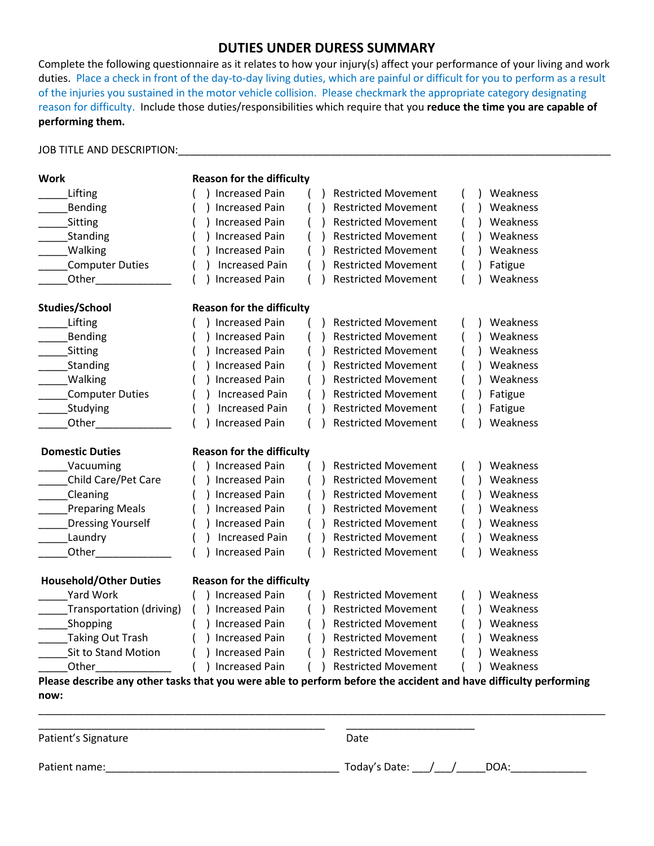#### **DUTIES UNDER DURESS SUMMARY**

Complete the following questionnaire as it relates to how your injury(s) affect your performance of your living and work duties. Place a check in front of the day-to-day living duties, which are painful or difficult for you to perform as a result of the injuries you sustained in the motor vehicle collision. Please checkmark the appropriate category designating reason for difficulty. Include those duties/responsibilities which require that you **reduce the time you are capable of performing them.**

#### JOB TITLE AND DESCRIPTION:\_\_\_\_\_\_\_\_\_\_\_\_\_\_\_\_\_\_\_\_\_\_\_\_\_\_\_\_\_\_\_\_\_\_\_\_\_\_\_\_\_\_\_\_\_\_\_\_\_\_\_\_\_\_\_\_\_\_\_\_\_\_\_\_\_\_\_\_\_\_\_\_\_\_

| <b>Work</b>                   | <b>Reason for the difficulty</b>                                                                                 |
|-------------------------------|------------------------------------------------------------------------------------------------------------------|
| Lifting                       | ) Increased Pain<br><b>Restricted Movement</b><br>Weakness                                                       |
| Bending                       | <b>Increased Pain</b><br><b>Restricted Movement</b><br>Weakness                                                  |
| Sitting                       | ) Increased Pain<br><b>Restricted Movement</b><br>Weakness                                                       |
| Standing                      | ) Increased Pain<br><b>Restricted Movement</b><br>Weakness                                                       |
| <b>Walking</b>                | <b>Increased Pain</b><br><b>Restricted Movement</b><br>Weakness                                                  |
| Computer Duties               | <b>Increased Pain</b><br><b>Restricted Movement</b><br>Fatigue                                                   |
| Other                         | <b>Increased Pain</b><br>Weakness<br><b>Restricted Movement</b>                                                  |
| Studies/School                | <b>Reason for the difficulty</b>                                                                                 |
| Lifting                       | ) Increased Pain<br><b>Restricted Movement</b><br>Weakness                                                       |
| Bending                       | ) Increased Pain<br><b>Restricted Movement</b><br>Weakness                                                       |
| Sitting                       | ) Increased Pain<br><b>Restricted Movement</b><br>Weakness                                                       |
| Standing                      | ) Increased Pain<br><b>Restricted Movement</b><br>Weakness                                                       |
| _Walking                      | ) Increased Pain<br><b>Restricted Movement</b><br>Weakness                                                       |
| Computer Duties               | <b>Restricted Movement</b><br><b>Increased Pain</b><br>Fatigue                                                   |
| _Studying                     | <b>Increased Pain</b><br><b>Restricted Movement</b><br>Fatigue                                                   |
| Other <b>Communication</b>    | <b>Increased Pain</b><br><b>Restricted Movement</b><br>Weakness                                                  |
| <b>Domestic Duties</b>        | <b>Reason for the difficulty</b>                                                                                 |
| Vacuuming                     | ) Increased Pain<br><b>Restricted Movement</b><br>Weakness                                                       |
| Child Care/Pet Care           | ) Increased Pain<br><b>Restricted Movement</b><br>Weakness                                                       |
| <b>Cleaning</b>               | ) Increased Pain<br><b>Restricted Movement</b><br>Weakness                                                       |
| <b>Preparing Meals</b>        | ) Increased Pain<br>Weakness<br><b>Restricted Movement</b>                                                       |
| <b>Dressing Yourself</b>      | ) Increased Pain<br><b>Restricted Movement</b><br>Weakness                                                       |
| Laundry                       | <b>Increased Pain</b><br><b>Restricted Movement</b><br>Weakness                                                  |
| <b>Other Community</b>        | <b>Increased Pain</b><br><b>Restricted Movement</b><br>Weakness                                                  |
| <b>Household/Other Duties</b> | <b>Reason for the difficulty</b>                                                                                 |
| Yard Work                     | ) Increased Pain<br><b>Restricted Movement</b><br>Weakness<br>$($ )                                              |
| Transportation (driving)      | ) Increased Pain<br>() Restricted Movement<br>Weakness                                                           |
| Shopping                      | ) Increased Pain<br><b>Restricted Movement</b><br>Weakness                                                       |
| Taking Out Trash              | ) Increased Pain<br><b>Restricted Movement</b><br>Weakness                                                       |
| Sit to Stand Motion           | ) Increased Pain<br><b>Restricted Movement</b><br>Weakness                                                       |
| Other                         | ) Increased Pain<br>( ) Restricted Movement<br>Weakness                                                          |
|                               | Please describe any other tasks that you were able to perform before the accident and have difficulty performing |
| now:                          |                                                                                                                  |

Patient's Signature Date

\_\_\_\_\_\_\_\_\_\_\_\_\_\_\_\_\_\_\_\_\_\_\_\_\_\_\_\_\_\_\_\_\_\_\_\_\_\_\_\_\_\_\_\_\_\_\_\_\_\_\_\_\_\_\_\_\_\_\_\_\_\_\_\_\_\_\_\_\_\_\_\_\_\_\_\_\_\_\_\_\_\_\_\_\_\_\_\_\_\_\_\_\_\_\_\_\_

\_\_\_\_\_\_\_\_\_\_\_\_\_\_\_\_\_\_\_\_\_\_\_\_\_\_\_\_\_\_\_\_\_\_\_\_\_\_\_\_\_\_\_\_\_\_\_\_\_ \_\_\_\_\_\_\_\_\_\_\_\_\_\_\_\_\_\_\_\_\_\_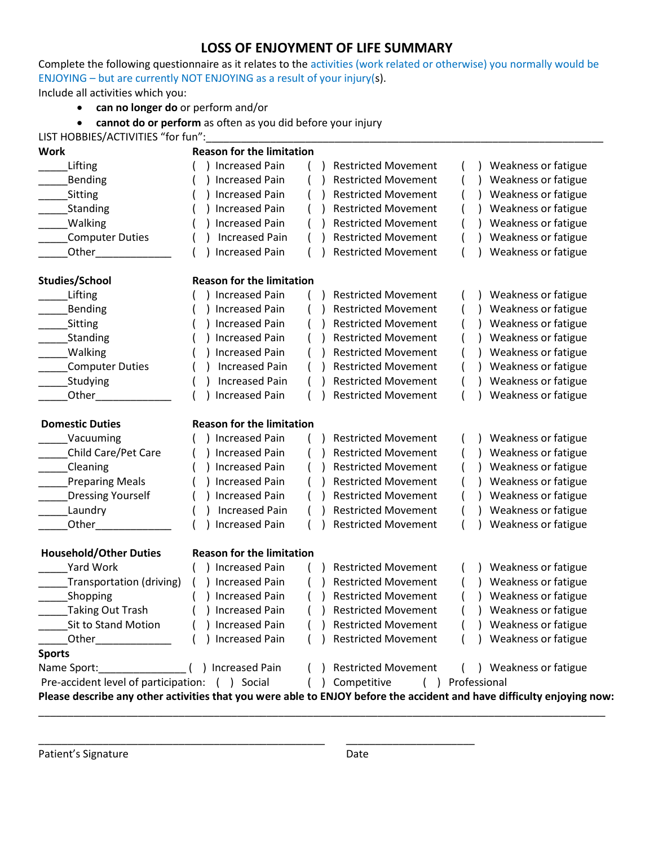### **LOSS OF ENJOYMENT OF LIFE SUMMARY**

Complete the following questionnaire as it relates to the activities (work related or otherwise) you normally would be ENJOYING – but are currently NOT ENJOYING as a result of your injury(s).

Include all activities which you:

• **can no longer do** or perform and/or

• **cannot do or perform** as often as you did before your injury

| LIST HOBBIES/ACTIVITIES "for fun":                                                                                     |                                  |  |                                          |  |                        |
|------------------------------------------------------------------------------------------------------------------------|----------------------------------|--|------------------------------------------|--|------------------------|
| <b>Work</b>                                                                                                            | <b>Reason for the limitation</b> |  |                                          |  |                        |
| Lifting                                                                                                                | <b>Increased Pain</b>            |  | <b>Restricted Movement</b>               |  | Weakness or fatigue    |
| Bending                                                                                                                | <b>Increased Pain</b>            |  | <b>Restricted Movement</b>               |  | Weakness or fatigue    |
| Sitting                                                                                                                | <b>Increased Pain</b>            |  | <b>Restricted Movement</b>               |  | Weakness or fatigue    |
| Standing                                                                                                               | <b>Increased Pain</b>            |  | <b>Restricted Movement</b>               |  | Weakness or fatigue    |
| <b>Walking</b>                                                                                                         | <b>Increased Pain</b>            |  | <b>Restricted Movement</b>               |  | Weakness or fatigue    |
| <b>Computer Duties</b>                                                                                                 | <b>Increased Pain</b>            |  | <b>Restricted Movement</b>               |  | Weakness or fatigue    |
| Other                                                                                                                  | <b>Increased Pain</b>            |  | <b>Restricted Movement</b>               |  | Weakness or fatigue    |
| <b>Studies/School</b>                                                                                                  | <b>Reason for the limitation</b> |  |                                          |  |                        |
| Lifting                                                                                                                | <b>Increased Pain</b>            |  | <b>Restricted Movement</b>               |  | Weakness or fatigue    |
| Bending                                                                                                                | <b>Increased Pain</b>            |  | <b>Restricted Movement</b>               |  | Weakness or fatigue    |
| Sitting                                                                                                                | <b>Increased Pain</b>            |  | <b>Restricted Movement</b>               |  | Weakness or fatigue    |
| Standing                                                                                                               | <b>Increased Pain</b>            |  | <b>Restricted Movement</b>               |  | Weakness or fatigue    |
| <b>Walking</b>                                                                                                         | <b>Increased Pain</b>            |  | <b>Restricted Movement</b>               |  | Weakness or fatigue    |
| Computer Duties                                                                                                        | <b>Increased Pain</b>            |  | <b>Restricted Movement</b>               |  | Weakness or fatigue    |
| Studying                                                                                                               | <b>Increased Pain</b>            |  | <b>Restricted Movement</b>               |  | Weakness or fatigue    |
| Other                                                                                                                  | <b>Increased Pain</b>            |  | <b>Restricted Movement</b>               |  | Weakness or fatigue    |
| <b>Domestic Duties</b>                                                                                                 | <b>Reason for the limitation</b> |  |                                          |  |                        |
| Vacuuming                                                                                                              | <b>Increased Pain</b>            |  | <b>Restricted Movement</b>               |  | Weakness or fatigue    |
| Child Care/Pet Care                                                                                                    | <b>Increased Pain</b>            |  | <b>Restricted Movement</b>               |  | Weakness or fatigue    |
| Cleaning                                                                                                               | <b>Increased Pain</b>            |  | <b>Restricted Movement</b>               |  | Weakness or fatigue    |
| <b>Preparing Meals</b>                                                                                                 | <b>Increased Pain</b>            |  | <b>Restricted Movement</b>               |  | Weakness or fatigue    |
| <b>Dressing Yourself</b>                                                                                               | <b>Increased Pain</b>            |  | <b>Restricted Movement</b>               |  | Weakness or fatigue    |
| Laundry                                                                                                                | <b>Increased Pain</b>            |  | <b>Restricted Movement</b>               |  | Weakness or fatigue    |
| Other                                                                                                                  | <b>Increased Pain</b>            |  | <b>Restricted Movement</b>               |  | Weakness or fatigue    |
| <b>Household/Other Duties</b>                                                                                          | <b>Reason for the limitation</b> |  |                                          |  |                        |
| Yard Work                                                                                                              | <b>Increased Pain</b>            |  | <b>Restricted Movement</b>               |  | Weakness or fatigue    |
| Transportation (driving)                                                                                               | <b>Increased Pain</b>            |  | <b>Restricted Movement</b>               |  | Weakness or fatigue    |
| Shopping                                                                                                               | ) Increased Pain                 |  | <b>Restricted Movement</b>               |  | Weakness or fatigue    |
| Taking Out Trash                                                                                                       | All Increased Pain               |  | ) Restricted Movement (                  |  | ) Weakness or fatigue  |
| Sit to Stand Motion () Increased Pain () Restricted Movement () Weakness or fatigue                                    |                                  |  |                                          |  |                        |
|                                                                                                                        |                                  |  | () Increased Pain () Restricted Movement |  | () Weakness or fatigue |
| <b>Sports</b>                                                                                                          |                                  |  |                                          |  |                        |
|                                                                                                                        |                                  |  |                                          |  |                        |
| Pre-accident level of participation: ( ) Social ( ) Competitive ( ) Professional                                       |                                  |  |                                          |  |                        |
| Please describe any other activities that you were able to ENJOY before the accident and have difficulty enjoying now: |                                  |  |                                          |  |                        |

\_\_\_\_\_\_\_\_\_\_\_\_\_\_\_\_\_\_\_\_\_\_\_\_\_\_\_\_\_\_\_\_\_\_\_\_\_\_\_\_\_\_\_\_\_\_\_\_\_\_\_\_\_\_\_\_\_\_\_\_\_\_\_\_\_\_\_\_\_\_\_\_\_\_\_\_\_\_\_\_\_\_\_\_\_\_\_\_\_\_\_\_\_\_\_\_\_

\_\_\_\_\_\_\_\_\_\_\_\_\_\_\_\_\_\_\_\_\_\_\_\_\_\_\_\_\_\_\_\_\_\_\_\_\_\_\_\_\_\_\_\_\_\_\_\_\_ \_\_\_\_\_\_\_\_\_\_\_\_\_\_\_\_\_\_\_\_\_\_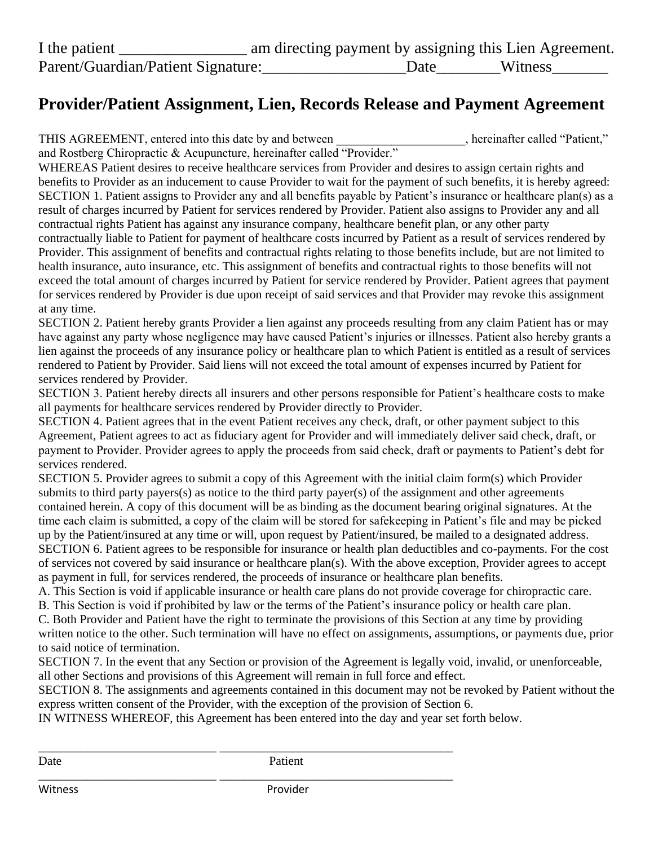## **Provider/Patient Assignment, Lien, Records Release and Payment Agreement**

THIS AGREEMENT, entered into this date by and between , hereinafter called "Patient,"

and Rostberg Chiropractic & Acupuncture, hereinafter called "Provider." WHEREAS Patient desires to receive healthcare services from Provider and desires to assign certain rights and benefits to Provider as an inducement to cause Provider to wait for the payment of such benefits, it is hereby agreed: SECTION 1. Patient assigns to Provider any and all benefits payable by Patient's insurance or healthcare plan(s) as a result of charges incurred by Patient for services rendered by Provider. Patient also assigns to Provider any and all contractual rights Patient has against any insurance company, healthcare benefit plan, or any other party contractually liable to Patient for payment of healthcare costs incurred by Patient as a result of services rendered by Provider. This assignment of benefits and contractual rights relating to those benefits include, but are not limited to health insurance, auto insurance, etc. This assignment of benefits and contractual rights to those benefits will not exceed the total amount of charges incurred by Patient for service rendered by Provider. Patient agrees that payment for services rendered by Provider is due upon receipt of said services and that Provider may revoke this assignment at any time.

SECTION 2. Patient hereby grants Provider a lien against any proceeds resulting from any claim Patient has or may have against any party whose negligence may have caused Patient's injuries or illnesses. Patient also hereby grants a lien against the proceeds of any insurance policy or healthcare plan to which Patient is entitled as a result of services rendered to Patient by Provider. Said liens will not exceed the total amount of expenses incurred by Patient for services rendered by Provider.

SECTION 3. Patient hereby directs all insurers and other persons responsible for Patient's healthcare costs to make all payments for healthcare services rendered by Provider directly to Provider.

SECTION 4. Patient agrees that in the event Patient receives any check, draft, or other payment subject to this Agreement, Patient agrees to act as fiduciary agent for Provider and will immediately deliver said check, draft, or payment to Provider. Provider agrees to apply the proceeds from said check, draft or payments to Patient's debt for services rendered.

SECTION 5. Provider agrees to submit a copy of this Agreement with the initial claim form(s) which Provider submits to third party payers(s) as notice to the third party payer(s) of the assignment and other agreements contained herein. A copy of this document will be as binding as the document bearing original signatures. At the time each claim is submitted, a copy of the claim will be stored for safekeeping in Patient's file and may be picked up by the Patient/insured at any time or will, upon request by Patient/insured, be mailed to a designated address. SECTION 6. Patient agrees to be responsible for insurance or health plan deductibles and co-payments. For the cost of services not covered by said insurance or healthcare plan(s). With the above exception, Provider agrees to accept as payment in full, for services rendered, the proceeds of insurance or healthcare plan benefits.

A. This Section is void if applicable insurance or health care plans do not provide coverage for chiropractic care.

B. This Section is void if prohibited by law or the terms of the Patient's insurance policy or health care plan.

C. Both Provider and Patient have the right to terminate the provisions of this Section at any time by providing written notice to the other. Such termination will have no effect on assignments, assumptions, or payments due, prior to said notice of termination.

SECTION 7. In the event that any Section or provision of the Agreement is legally void, invalid, or unenforceable, all other Sections and provisions of this Agreement will remain in full force and effect.

SECTION 8. The assignments and agreements contained in this document may not be revoked by Patient without the express written consent of the Provider, with the exception of the provision of Section 6.

IN WITNESS WHEREOF, this Agreement has been entered into the day and year set forth below.

\_\_\_\_\_\_\_\_\_\_\_\_\_\_\_\_\_\_\_\_\_\_\_\_\_\_\_\_\_ \_\_\_\_\_\_\_\_\_\_\_\_\_\_\_\_\_\_\_\_\_\_\_\_\_\_\_\_\_\_\_\_\_\_\_\_\_\_

\_\_\_\_\_\_\_\_\_\_\_\_\_\_\_\_\_\_\_\_\_\_\_\_\_\_\_\_\_ \_\_\_\_\_\_\_\_\_\_\_\_\_\_\_\_\_\_\_\_\_\_\_\_\_\_\_\_\_\_\_\_\_\_\_\_\_\_

Date Patient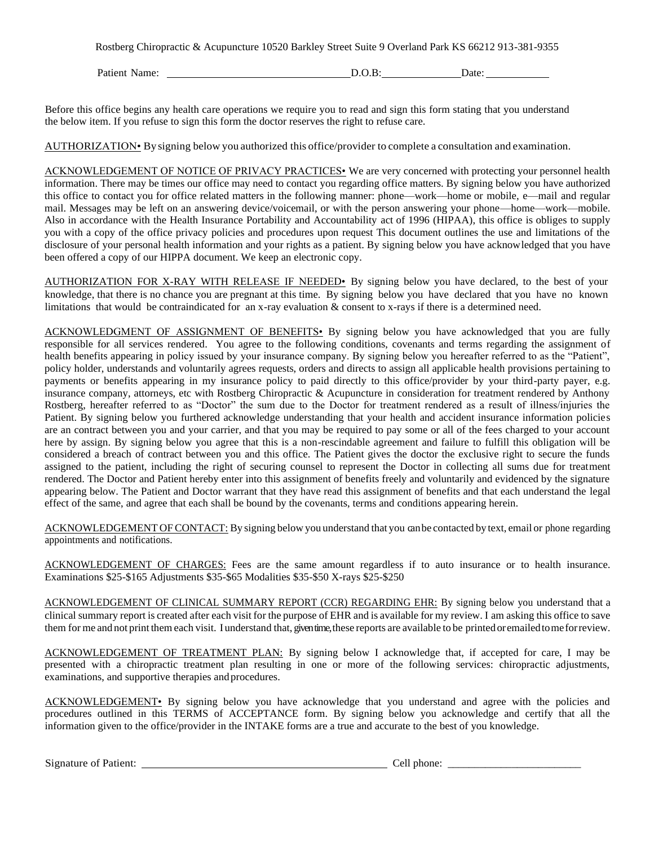Rostberg Chiropractic & Acupuncture 10520 Barkley Street Suite 9 Overland Park KS 66212 913-381-9355

Patient Name: D.O.B: Date: D.O.B: Date:

Before this office begins any health care operations we require you to read and sign this form stating that you understand the below item. If you refuse to sign this form the doctor reserves the right to refuse care.

AUTHORIZATION• By signing below you authorized this office/provider to complete a consultation and examination.

ACKNOWLEDGEMENT OF NOTICE OF PRIVACY PRACTICES• We are very concerned with protecting your personnel health information. There may be times our office may need to contact you regarding office matters. By signing below you have authorized this office to contact you for office related matters in the following manner: phone—work—home or mobile, e—mail and regular mail. Messages may be left on an answering device/voicemail, or with the person answering your phone—home—work—mobile. Also in accordance with the Health Insurance Portability and Accountability act of 1996 (HIPAA), this office is obliges to supply you with a copy of the office privacy policies and procedures upon request This document outlines the use and limitations of the disclosure of your personal health information and your rights as a patient. By signing below you have acknowledged that you have been offered a copy of our HIPPA document. We keep an electronic copy.

AUTHORIZATION FOR X-RAY WITH RELEASE IF NEEDED• By signing below you have declared, to the best of your knowledge, that there is no chance you are pregnant at this time. By signing below you have declared that you have no known limitations that would be contraindicated for an x-ray evaluation & consent to x-rays if there is a determined need.

ACKNOWLEDGMENT OF ASSIGNMENT OF BENEFITS• By signing below you have acknowledged that you are fully responsible for all services rendered. You agree to the following conditions, covenants and terms regarding the assignment of health benefits appearing in policy issued by your insurance company. By signing below you hereafter referred to as the "Patient", policy holder, understands and voluntarily agrees requests, orders and directs to assign all applicable health provisions pertaining to payments or benefits appearing in my insurance policy to paid directly to this office/provider by your third-party payer, e.g. insurance company, attorneys, etc with Rostberg Chiropractic & Acupuncture in consideration for treatment rendered by Anthony Rostberg, hereafter referred to as "Doctor" the sum due to the Doctor for treatment rendered as a result of illness/injuries the Patient. By signing below you furthered acknowledge understanding that your health and accident insurance information policies are an contract between you and your carrier, and that you may be required to pay some or all of the fees charged to your account here by assign. By signing below you agree that this is a non-rescindable agreement and failure to fulfill this obligation will be considered a breach of contract between you and this office. The Patient gives the doctor the exclusive right to secure the funds assigned to the patient, including the right of securing counsel to represent the Doctor in collecting all sums due for treatment rendered. The Doctor and Patient hereby enter into this assignment of benefits freely and voluntarily and evidenced by the signature appearing below. The Patient and Doctor warrant that they have read this assignment of benefits and that each understand the legal effect of the same, and agree that each shall be bound by the covenants, terms and conditions appearing herein.

ACKNOWLEDGEMENT OF CONTACT: By signing below you understand that you can be contacted by text, email or phone regarding appointments and notifications.

ACKNOWLEDGEMENT OF CHARGES: Fees are the same amount regardless if to auto insurance or to health insurance. Examinations \$25-\$165 Adjustments \$35-\$65 Modalities \$35-\$50 X-rays \$25-\$250

ACKNOWLEDGEMENT OF CLINICAL SUMMARY REPORT (CCR) REGARDING EHR: By signing below you understand that a clinical summary report is created after each visit for the purpose of EHR and is available for my review. I am asking this office to save them for me and not print them each visit. Iunderstand that, given time, these reports are available to be printedoremailedtomeforreview.

ACKNOWLEDGEMENT OF TREATMENT PLAN: By signing below I acknowledge that, if accepted for care, I may be presented with a chiropractic treatment plan resulting in one or more of the following services: chiropractic adjustments, examinations, and supportive therapies and procedures.

ACKNOWLEDGEMENT• By signing below you have acknowledge that you understand and agree with the policies and procedures outlined in this TERMS of ACCEPTANCE form. By signing below you acknowledge and certify that all the information given to the office/provider in the INTAKE forms are a true and accurate to the best of you knowledge.